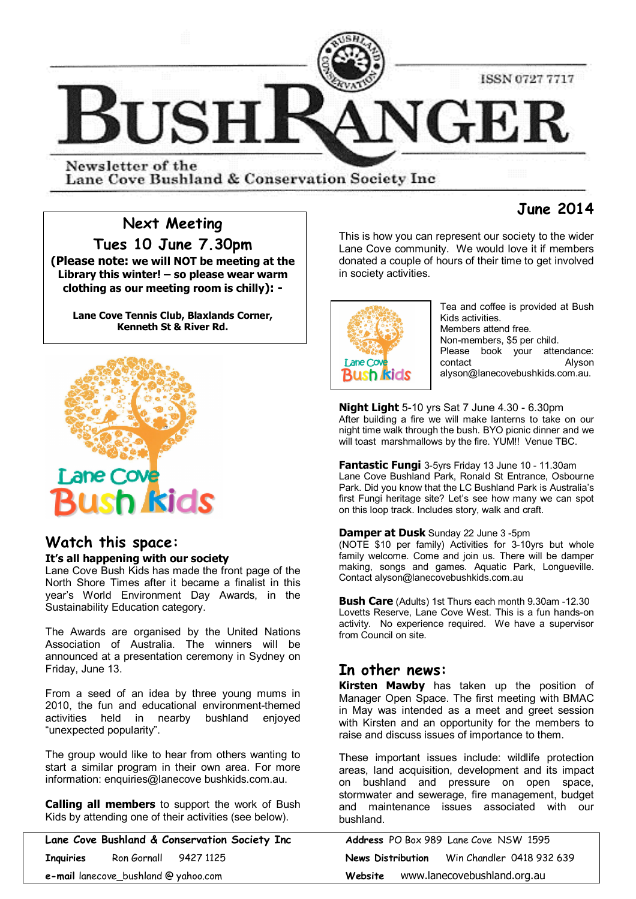

Newsletter of the Lane Cove Bushland & Conservation Society Inc.

# **June 2014**

# **Next Meeting**

**Tues 10 June 7.30pm (Please note: we will NOT be meeting at the Library this winter! – so please wear warm clothing as our meeting room is chilly): -**

**Lane Cove Tennis Club, Blaxlands Corner, Kenneth St & River Rd.**



# **Watch this space:**

# **It's all happening with our society**

Lane Cove Bush Kids has made the front page of the North Shore Times after it became a finalist in this year's World Environment Day Awards, in the Sustainability Education category.

The Awards are organised by the United Nations Association of Australia. The winners will be announced at a presentation ceremony in Sydney on Friday, June 13.

From a seed of an idea by three young mums in 2010, the fun and educational environment-themed activities held in nearby bushland enjoyed "unexpected popularity".

The group would like to hear from others wanting to start a similar program in their own area. For more information: enquiries@lanecove bushkids.com.au.

**Calling all members** to support the work of Bush Kids by attending one of their activities (see below).

**Lane Cove Bushland & Conservation Society Inc Address** PO Box 989 Lane Cove NSW 1595 **Inquiries** Ron Gornall 9427 1125 **News Distribution** Win Chandler 0418 932 639 **e-mail** lanecove\_bushland @ yahoo.com **Website** www.lanecovebushland.org.au

This is how you can represent our society to the wider Lane Cove community. We would love it if members donated a couple of hours of their time to get involved in society activities.



Tea and coffee is provided at Bush Kids activities. Members attend free. Non-members, \$5 per child. Please book your attendance: contact Alyson alyson@lanecovebushkids.com.au.

**Night Light** 5-10 yrs Sat 7 June 4.30 - 6.30pm After building a fire we will make lanterns to take on our night time walk through the bush. BYO picnic dinner and we will toast marshmallows by the fire. YUM!! Venue TBC.

**Fantastic Fungi** 3-5yrs Friday 13 June 10 - 11.30am Lane Cove Bushland Park, Ronald St Entrance, Osbourne Park. Did you know that the LC Bushland Park is Australia's first Fungi heritage site? Let's see how many we can spot on this loop track. Includes story, walk and craft.

**Damper at Dusk** Sunday 22 June 3 -5pm

(NOTE \$10 per family) Activities for 3-10yrs but whole family welcome. Come and join us. There will be damper making, songs and games. Aquatic Park, Longueville. Contact alyson@lanecovebushkids.com.au

**Bush Care** (Adults) 1st Thurs each month 9.30am -12.30 Lovetts Reserve, Lane Cove West. This is a fun hands-on activity. No experience required. We have a supervisor from Council on site.

# **In other news:**

**Kirsten Mawby** has taken up the position of Manager Open Space. The first meeting with BMAC in May was intended as a meet and greet session with Kirsten and an opportunity for the members to raise and discuss issues of importance to them.

These important issues include: wildlife protection areas, land acquisition, development and its impact on bushland and pressure on open space, stormwater and sewerage, fire management, budget and maintenance issues associated with our bushland.